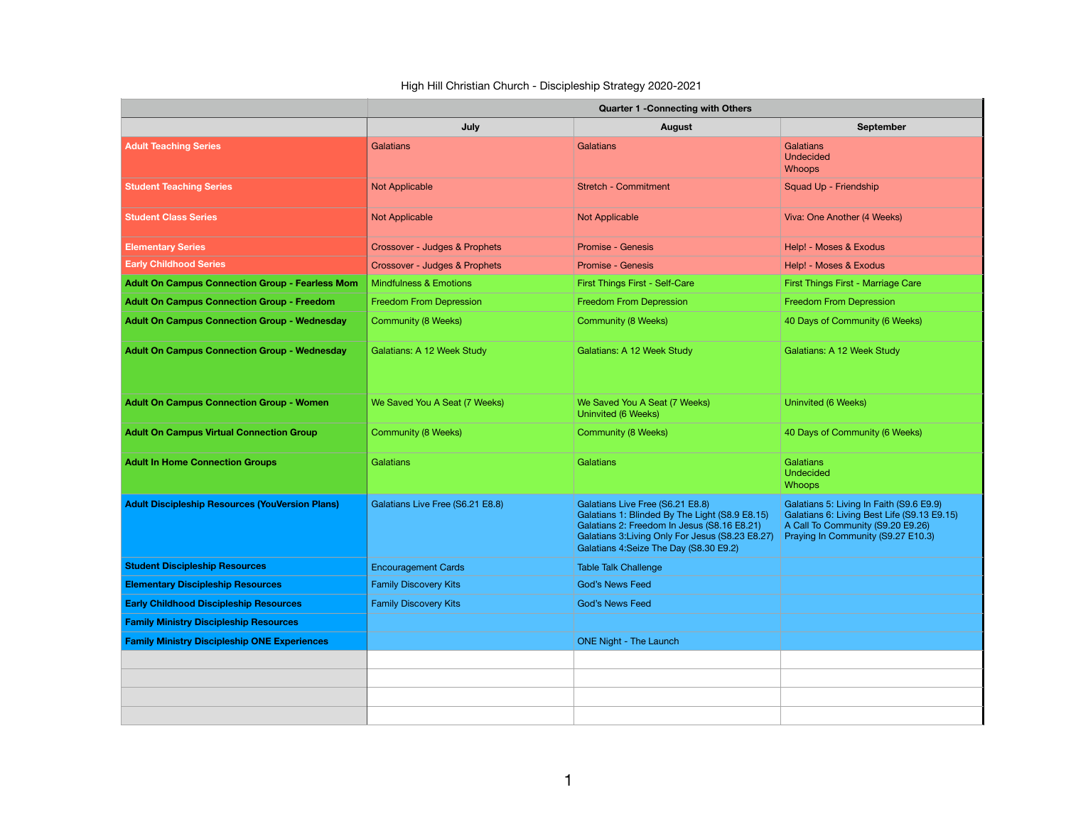## High Hill Christian Church - Discipleship Strategy 2020-2021

|                                                        | <b>Quarter 1 - Connecting with Others</b> |                                                                                                                                                                                                                                 |                                                                                                                                                                    |  |
|--------------------------------------------------------|-------------------------------------------|---------------------------------------------------------------------------------------------------------------------------------------------------------------------------------------------------------------------------------|--------------------------------------------------------------------------------------------------------------------------------------------------------------------|--|
|                                                        | July                                      | August                                                                                                                                                                                                                          | September                                                                                                                                                          |  |
| <b>Adult Teaching Series</b>                           | <b>Galatians</b>                          | Galatians                                                                                                                                                                                                                       | Galatians<br><b>Undecided</b><br><b>Whoops</b>                                                                                                                     |  |
| <b>Student Teaching Series</b>                         | <b>Not Applicable</b>                     | <b>Stretch - Commitment</b>                                                                                                                                                                                                     | Squad Up - Friendship                                                                                                                                              |  |
| <b>Student Class Series</b>                            | <b>Not Applicable</b>                     | <b>Not Applicable</b>                                                                                                                                                                                                           | Viva: One Another (4 Weeks)                                                                                                                                        |  |
| <b>Elementary Series</b>                               | Crossover - Judges & Prophets             | Promise - Genesis                                                                                                                                                                                                               | Help! - Moses & Exodus                                                                                                                                             |  |
| <b>Early Childhood Series</b>                          | Crossover - Judges & Prophets             | Promise - Genesis                                                                                                                                                                                                               | Help! - Moses & Exodus                                                                                                                                             |  |
| <b>Adult On Campus Connection Group - Fearless Mom</b> | <b>Mindfulness &amp; Emotions</b>         | First Things First - Self-Care                                                                                                                                                                                                  | First Things First - Marriage Care                                                                                                                                 |  |
| <b>Adult On Campus Connection Group - Freedom</b>      | Freedom From Depression                   | Freedom From Depression                                                                                                                                                                                                         | Freedom From Depression                                                                                                                                            |  |
| <b>Adult On Campus Connection Group - Wednesday</b>    | Community (8 Weeks)                       | <b>Community (8 Weeks)</b>                                                                                                                                                                                                      | 40 Days of Community (6 Weeks)                                                                                                                                     |  |
| <b>Adult On Campus Connection Group - Wednesday</b>    | Galatians: A 12 Week Study                | Galatians: A 12 Week Study                                                                                                                                                                                                      | Galatians: A 12 Week Study                                                                                                                                         |  |
| <b>Adult On Campus Connection Group - Women</b>        | We Saved You A Seat (7 Weeks)             | We Saved You A Seat (7 Weeks)<br>Uninvited (6 Weeks)                                                                                                                                                                            | Uninvited (6 Weeks)                                                                                                                                                |  |
| <b>Adult On Campus Virtual Connection Group</b>        | Community (8 Weeks)                       | Community (8 Weeks)                                                                                                                                                                                                             | 40 Days of Community (6 Weeks)                                                                                                                                     |  |
| <b>Adult In Home Connection Groups</b>                 | Galatians                                 | Galatians                                                                                                                                                                                                                       | Galatians<br><b>Undecided</b><br><b>Whoops</b>                                                                                                                     |  |
| <b>Adult Discipleship Resources (YouVersion Plans)</b> | Galatians Live Free (S6.21 E8.8)          | Galatians Live Free (S6.21 E8.8)<br>Galatians 1: Blinded By The Light (S8.9 E8.15)<br>Galatians 2: Freedom In Jesus (S8.16 E8.21)<br>Galatians 3: Living Only For Jesus (S8.23 E8.27)<br>Galatians 4:Seize The Day (S8.30 E9.2) | Galatians 5: Living In Faith (S9.6 E9.9)<br>Galatians 6: Living Best Life (S9.13 E9.15)<br>A Call To Community (S9.20 E9.26)<br>Praying In Community (S9.27 E10.3) |  |
| <b>Student Discipleship Resources</b>                  | <b>Encouragement Cards</b>                | <b>Table Talk Challenge</b>                                                                                                                                                                                                     |                                                                                                                                                                    |  |
| <b>Elementary Discipleship Resources</b>               | <b>Family Discovery Kits</b>              | <b>God's News Feed</b>                                                                                                                                                                                                          |                                                                                                                                                                    |  |
| <b>Early Childhood Discipleship Resources</b>          | <b>Family Discovery Kits</b>              | <b>God's News Feed</b>                                                                                                                                                                                                          |                                                                                                                                                                    |  |
| <b>Family Ministry Discipleship Resources</b>          |                                           |                                                                                                                                                                                                                                 |                                                                                                                                                                    |  |
| <b>Family Ministry Discipleship ONE Experiences</b>    |                                           | <b>ONE Night - The Launch</b>                                                                                                                                                                                                   |                                                                                                                                                                    |  |
|                                                        |                                           |                                                                                                                                                                                                                                 |                                                                                                                                                                    |  |
|                                                        |                                           |                                                                                                                                                                                                                                 |                                                                                                                                                                    |  |
|                                                        |                                           |                                                                                                                                                                                                                                 |                                                                                                                                                                    |  |
|                                                        |                                           |                                                                                                                                                                                                                                 |                                                                                                                                                                    |  |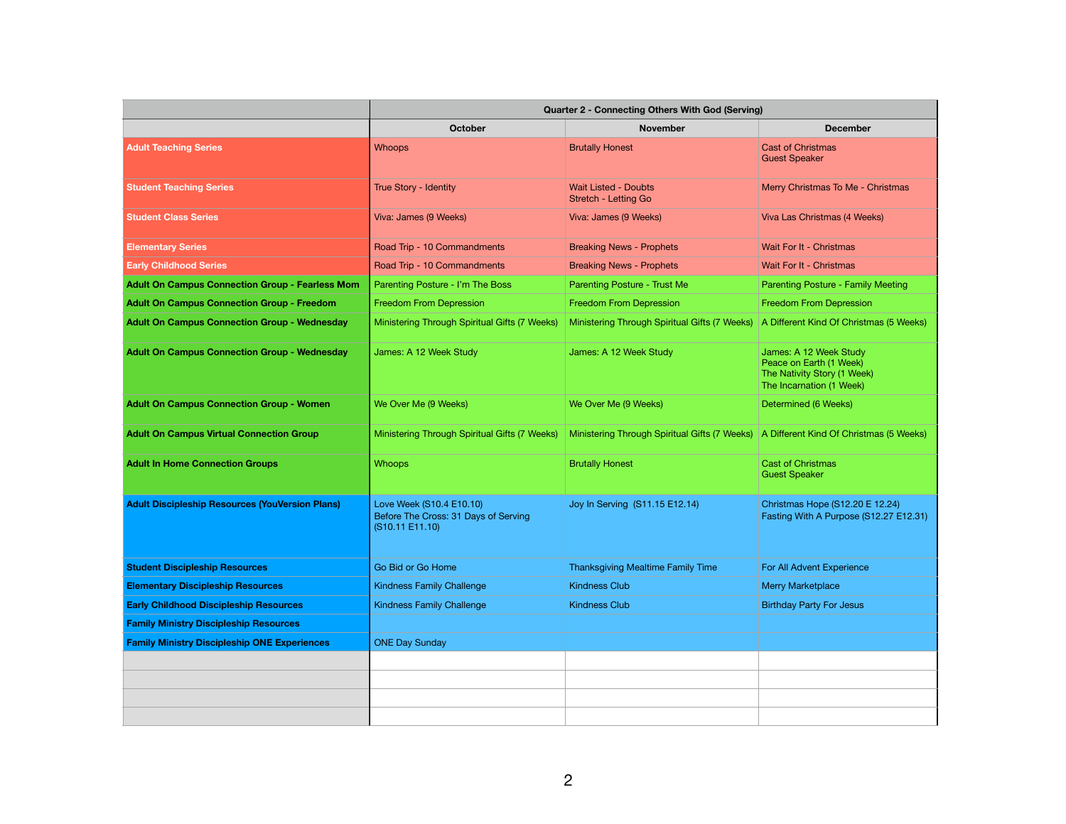|                                                        | Quarter 2 - Connecting Others With God (Serving)                                    |                                                     |                                                                                                              |  |
|--------------------------------------------------------|-------------------------------------------------------------------------------------|-----------------------------------------------------|--------------------------------------------------------------------------------------------------------------|--|
|                                                        | October                                                                             | <b>November</b>                                     | <b>December</b>                                                                                              |  |
| <b>Adult Teaching Series</b>                           | <b>Whoops</b>                                                                       | <b>Brutally Honest</b>                              | <b>Cast of Christmas</b><br><b>Guest Speaker</b>                                                             |  |
| <b>Student Teaching Series</b>                         | True Story - Identity                                                               | <b>Wait Listed - Doubts</b><br>Stretch - Letting Go | Merry Christmas To Me - Christmas                                                                            |  |
| <b>Student Class Series</b>                            | Viva: James (9 Weeks)                                                               | Viva: James (9 Weeks)                               | Viva Las Christmas (4 Weeks)                                                                                 |  |
| <b>Elementary Series</b>                               | Road Trip - 10 Commandments                                                         | <b>Breaking News - Prophets</b>                     | Wait For It - Christmas                                                                                      |  |
| <b>Early Childhood Series</b>                          | Road Trip - 10 Commandments                                                         | <b>Breaking News - Prophets</b>                     | Wait For It - Christmas                                                                                      |  |
| <b>Adult On Campus Connection Group - Fearless Mom</b> | Parenting Posture - I'm The Boss                                                    | Parenting Posture - Trust Me                        | Parenting Posture - Family Meeting                                                                           |  |
| <b>Adult On Campus Connection Group - Freedom</b>      | Freedom From Depression                                                             | <b>Freedom From Depression</b>                      | <b>Freedom From Depression</b>                                                                               |  |
| <b>Adult On Campus Connection Group - Wednesday</b>    | Ministering Through Spiritual Gifts (7 Weeks)                                       | Ministering Through Spiritual Gifts (7 Weeks)       | A Different Kind Of Christmas (5 Weeks)                                                                      |  |
| <b>Adult On Campus Connection Group - Wednesday</b>    | James: A 12 Week Study                                                              | James: A 12 Week Study                              | James: A 12 Week Study<br>Peace on Earth (1 Week)<br>The Nativity Story (1 Week)<br>The Incarnation (1 Week) |  |
| <b>Adult On Campus Connection Group - Women</b>        | We Over Me (9 Weeks)                                                                | We Over Me (9 Weeks)                                | Determined (6 Weeks)                                                                                         |  |
| <b>Adult On Campus Virtual Connection Group</b>        | Ministering Through Spiritual Gifts (7 Weeks)                                       | Ministering Through Spiritual Gifts (7 Weeks)       | A Different Kind Of Christmas (5 Weeks)                                                                      |  |
| <b>Adult In Home Connection Groups</b>                 | <b>Whoops</b>                                                                       | <b>Brutally Honest</b>                              | <b>Cast of Christmas</b><br><b>Guest Speaker</b>                                                             |  |
| <b>Adult Discipleship Resources (YouVersion Plans)</b> | Love Week (S10.4 E10.10)<br>Before The Cross: 31 Days of Serving<br>(S10.11 E11.10) | Joy In Serving (S11.15 E12.14)                      | Christmas Hope (S12.20 E 12.24)<br>Fasting With A Purpose (S12.27 E12.31)                                    |  |
| <b>Student Discipleship Resources</b>                  | Go Bid or Go Home                                                                   | <b>Thanksgiving Mealtime Family Time</b>            | For All Advent Experience                                                                                    |  |
| <b>Elementary Discipleship Resources</b>               | <b>Kindness Family Challenge</b>                                                    | <b>Kindness Club</b>                                | <b>Merry Marketplace</b>                                                                                     |  |
| <b>Early Childhood Discipleship Resources</b>          | <b>Kindness Family Challenge</b>                                                    | <b>Kindness Club</b>                                | <b>Birthday Party For Jesus</b>                                                                              |  |
| <b>Family Ministry Discipleship Resources</b>          |                                                                                     |                                                     |                                                                                                              |  |
| <b>Family Ministry Discipleship ONE Experiences</b>    | <b>ONE Day Sunday</b>                                                               |                                                     |                                                                                                              |  |
|                                                        |                                                                                     |                                                     |                                                                                                              |  |
|                                                        |                                                                                     |                                                     |                                                                                                              |  |
|                                                        |                                                                                     |                                                     |                                                                                                              |  |
|                                                        |                                                                                     |                                                     |                                                                                                              |  |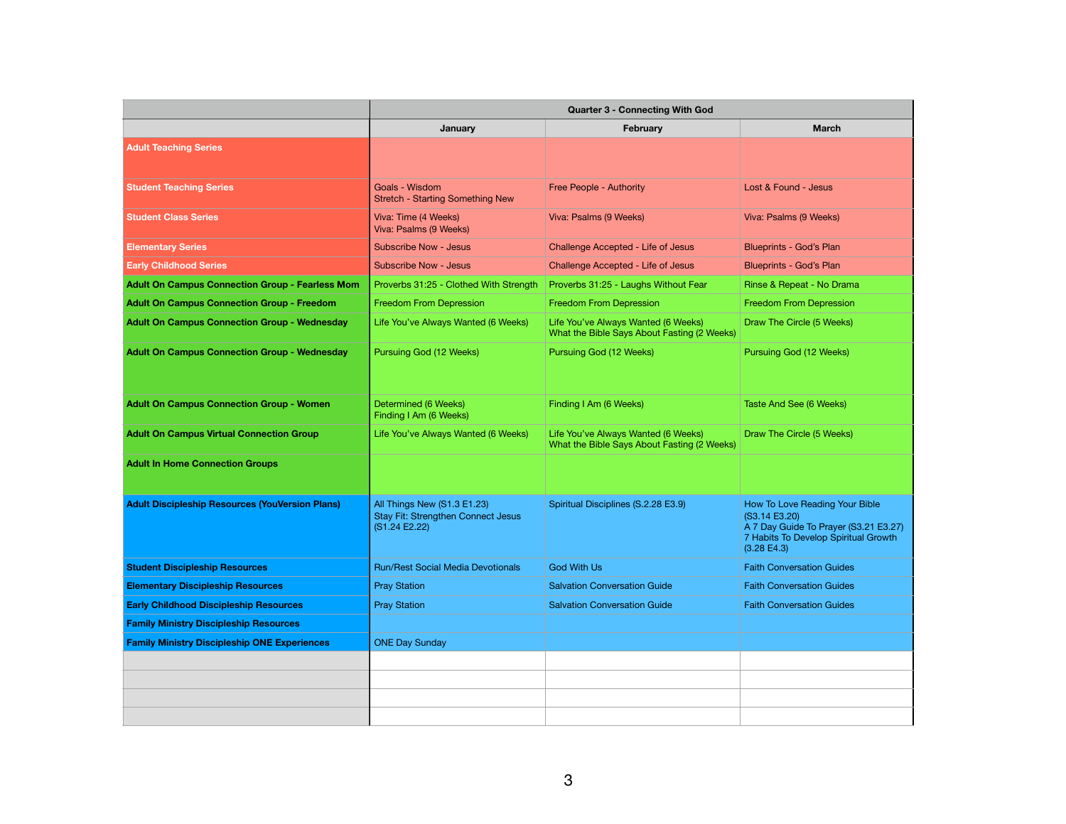|                                                        | Quarter 3 - Connecting With God                                                    |                                                                                    |                                                                                                                                                           |
|--------------------------------------------------------|------------------------------------------------------------------------------------|------------------------------------------------------------------------------------|-----------------------------------------------------------------------------------------------------------------------------------------------------------|
|                                                        | January                                                                            | February                                                                           | <b>March</b>                                                                                                                                              |
| <b>Adult Teaching Series</b>                           |                                                                                    |                                                                                    |                                                                                                                                                           |
| <b>Student Teaching Series</b>                         | Goals - Wisdom<br><b>Stretch - Starting Something New</b>                          | Free People - Authority                                                            | Lost & Found - Jesus                                                                                                                                      |
| <b>Student Class Series</b>                            | Viva: Time (4 Weeks)<br>Viva: Psalms (9 Weeks)                                     | Viva: Psalms (9 Weeks)                                                             | Viva: Psalms (9 Weeks)                                                                                                                                    |
| <b>Elementary Series</b>                               | <b>Subscribe Now - Jesus</b>                                                       | Challenge Accepted - Life of Jesus                                                 | Blueprints - God's Plan                                                                                                                                   |
| <b>Early Childhood Series</b>                          | <b>Subscribe Now - Jesus</b>                                                       | Challenge Accepted - Life of Jesus                                                 | <b>Blueprints - God's Plan</b>                                                                                                                            |
| <b>Adult On Campus Connection Group - Fearless Mom</b> | Proverbs 31:25 - Clothed With Strength                                             | Proverbs 31:25 - Laughs Without Fear                                               | Rinse & Repeat - No Drama                                                                                                                                 |
| <b>Adult On Campus Connection Group - Freedom</b>      | <b>Freedom From Depression</b>                                                     | Freedom From Depression                                                            | Freedom From Depression                                                                                                                                   |
| <b>Adult On Campus Connection Group - Wednesday</b>    | Life You've Always Wanted (6 Weeks)                                                | Life You've Always Wanted (6 Weeks)<br>What the Bible Says About Fasting (2 Weeks) | Draw The Circle (5 Weeks)                                                                                                                                 |
| <b>Adult On Campus Connection Group - Wednesday</b>    | Pursuing God (12 Weeks)                                                            | Pursuing God (12 Weeks)                                                            | Pursuing God (12 Weeks)                                                                                                                                   |
| <b>Adult On Campus Connection Group - Women</b>        | Determined (6 Weeks)<br>Finding I Am (6 Weeks)                                     | Finding I Am (6 Weeks)                                                             | Taste And See (6 Weeks)                                                                                                                                   |
| <b>Adult On Campus Virtual Connection Group</b>        | Life You've Always Wanted (6 Weeks)                                                | Life You've Always Wanted (6 Weeks)<br>What the Bible Says About Fasting (2 Weeks) | Draw The Circle (5 Weeks)                                                                                                                                 |
| <b>Adult In Home Connection Groups</b>                 |                                                                                    |                                                                                    |                                                                                                                                                           |
| <b>Adult Discipleship Resources (YouVersion Plans)</b> | All Things New (S1.3 E1.23)<br>Stay Fit: Strengthen Connect Jesus<br>(S1.24 E2.22) | Spiritual Disciplines (S.2.28 E3.9)                                                | How To Love Reading Your Bible<br>(S3.14 E3.20)<br>A 7 Day Guide To Prayer (S3.21 E3.27)<br>7 Habits To Develop Spiritual Growth<br>$(3.28 \text{ E}4.3)$ |
| <b>Student Discipleship Resources</b>                  | <b>Run/Rest Social Media Devotionals</b>                                           | <b>God With Us</b>                                                                 | <b>Faith Conversation Guides</b>                                                                                                                          |
| <b>Elementary Discipleship Resources</b>               | <b>Pray Station</b>                                                                | <b>Salvation Conversation Guide</b>                                                | <b>Faith Conversation Guides</b>                                                                                                                          |
| <b>Early Childhood Discipleship Resources</b>          | <b>Pray Station</b>                                                                | <b>Salvation Conversation Guide</b>                                                | <b>Faith Conversation Guides</b>                                                                                                                          |
| <b>Family Ministry Discipleship Resources</b>          |                                                                                    |                                                                                    |                                                                                                                                                           |
| <b>Family Ministry Discipleship ONE Experiences</b>    | <b>ONE Day Sunday</b>                                                              |                                                                                    |                                                                                                                                                           |
|                                                        |                                                                                    |                                                                                    |                                                                                                                                                           |
|                                                        |                                                                                    |                                                                                    |                                                                                                                                                           |
|                                                        |                                                                                    |                                                                                    |                                                                                                                                                           |
|                                                        |                                                                                    |                                                                                    |                                                                                                                                                           |